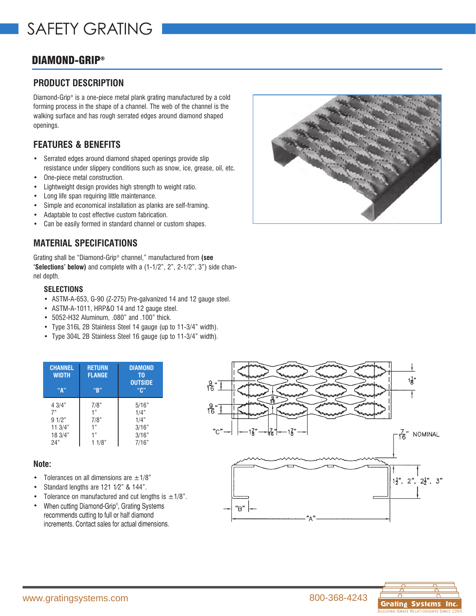# DIAMOND-GRIP®

## **PRODUCT DESCRIPTION**

Diamond-Grip® is a one-piece metal plank grating manufactured by a cold forming process in the shape of a channel. The web of the channel is the walking surface and has rough serrated edges around diamond shaped openings.

## **FEATURES & BENEFITS**

- Serrated edges around diamond shaped openings provide slip resistance under slippery conditions such as snow, ice, grease, oil, etc.
- One-piece metal construction.
- Lightweight design provides high strength to weight ratio.
- Long life span requiring little maintenance.
- Simple and economical installation as planks are self-framing.
- Adaptable to cost effective custom fabrication.
- Can be easily formed in standard channel or custom shapes.

## **MATERIAL SPECIFICATIONS**

Grating shall be "Diamond-Grip® channel," manufactured from **(see 'Selections' below)** and complete with a (1-1/2", 2", 2-1/2", 3") side channel depth.

#### • **SELECTIONS**

- ASTM-A-653, G-90 (Z-275) Pre-galvanized 14 and 12 gauge steel.
- ASTM-A-1011, HRP&O 14 and 12 gauge steel.
- 5052-H32 Aluminum, .080" and .100" thick.
- Type 316L 2B Stainless Steel 14 gauge (up to 11-3/4" width).
- Type 304L 2B Stainless Steel 16 gauge (up to 11-3/4" width).

| <b>CHANNEL</b><br><b>WIDTH</b><br>"А" | <b>RETURN</b><br><b>FLANGE</b><br>"R" | <b>DIAMOND</b><br>ΤO<br><b>OUTSIDE</b><br>"በ" |
|---------------------------------------|---------------------------------------|-----------------------------------------------|
| 4 3/4"                                | 7/8"                                  | 5/16"                                         |
| 7"                                    | 1"                                    | 1/4"                                          |
| 91/2"                                 | 7/8"                                  | 1/4"                                          |
| 113/4"                                | 1"                                    | 3/16"                                         |
| 18 3/4"                               | 1"                                    | 3/16"                                         |
| 24"                                   | 1/8"                                  | 7/16"                                         |

### **Note:**

- Tolerances on all dimensions are  $\pm$ 1/8"
- Standard lengths are 121 1⁄2" & 144".
- Tolerance on manufactured and cut lengths is  $\pm 1/8$ ".
- When cutting Diamond-Grip®, Grating Systems recommends cutting to full or half diamond increments. Contact sales for actual dimensions.





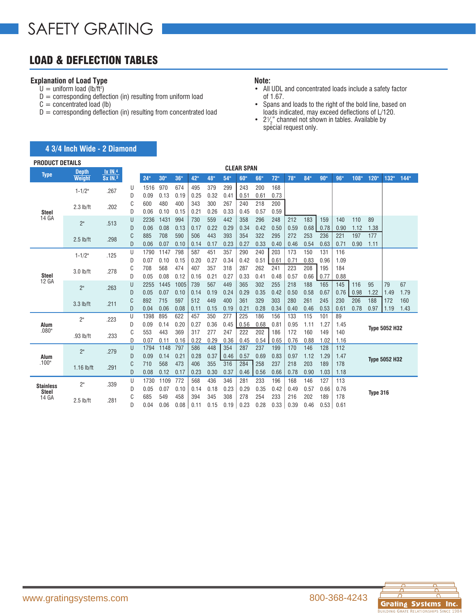# LOAD & DEFLECTION TABLES

## **Explanation of Load Type**

- $U =$  uniform load (lb/ft<sup>2</sup>)
- $D =$  corresponding deflection (in) resulting from uniform load
- $C =$  concentrated load (lb)
- $D =$  corresponding deflection (in) resulting from concentrated load

#### **Note:**

- All UDL and concentrated loads include a safety factor of 1.67.
- Spans and loads to the right of the bold line, based on loads indicated, may exceed deflections of L/120.
- $2\frac{1}{2}$  channel not shown in tables. Available by ∕<br>≀  $2\frac{2}{2}$  enaming not end<br>special request only.

| <b>PRODUCT DETAILS</b> |                               |                                       |        |              |                  |             |             |             |             | <b>CLEAR SPAN</b> |             |             |             |             |             |            |      |          |                      |      |
|------------------------|-------------------------------|---------------------------------------|--------|--------------|------------------|-------------|-------------|-------------|-------------|-------------------|-------------|-------------|-------------|-------------|-------------|------------|------|----------|----------------------|------|
| <b>Type</b>            | <b>Depth</b><br><b>Weight</b> | <b>Ix IN.4</b><br>Sx IN. <sup>3</sup> |        | 24"          |                  | 36"         |             |             |             |                   |             |             | 78"         | 84"         | 90"         | 96"        |      |          |                      |      |
|                        |                               |                                       |        |              | 30 <sup>th</sup> |             | 42"         | 48"         | 54"         | 60"               | 66"         | 72"         |             |             |             |            | 108" | 120"     | 132"                 | 144" |
|                        | $1 - 1/2"$                    | .267                                  | U      | 1516         | 970              | 674         | 495         | 379         | 299         | 243               | 200         | 168         |             |             |             |            |      |          |                      |      |
|                        |                               |                                       | D      | 0.09         | 0.13             | 0.19        | 0.25        | 0.32        | 0.41        | 0.51              | 0.61        | 0.73        |             |             |             |            |      |          |                      |      |
|                        | $2.3$ lb/ft                   | .202                                  | C      | 600          | 480              | 400         | 343         | 300         | 267         | 240               | 218         | 200         |             |             |             |            |      |          |                      |      |
| <b>Steel</b><br>14 GA  |                               |                                       | D      | 0.06         | 0.10             | 0.15        | 0.21        | 0.26        | 0.33        | 0.45              | 0.57        | 0.59        |             |             |             |            |      |          |                      |      |
|                        | 2"                            | .513                                  | U      | 2236         | 1431             | 994         | 730         | 559         | 442         | 358               | 296         | 248         | 212         | 183         | 159         | 140        | 110  | 89       |                      |      |
|                        |                               |                                       | D      | 0.06         | 0.08             | 0.13        | 0.17        | 0.22        | 0.29        | 0.34              | 0.42        | 0.50        | 0.59        | 0.68        | 0.78        | 0.90       | 1.12 | 1.38     |                      |      |
|                        | $2.5$ lb/ft                   | .298                                  | C      | 885          | 708              | 590         | 506         | 443         | 393         | 354               | 322         | 295         | 272         | 253         | 236         | 221        | 197  | 177      |                      |      |
|                        |                               |                                       | D      | 0.06         | 0.07             | 0.10        | 0.14        | 0.17        | 0.23        | 0.27              | 0.33        | 0.40        | 0.46        | 0.54        | 0.63        | 0.71       | 0.90 | 1.11     |                      |      |
|                        | $1 - 1/2$ "                   | .125                                  | U      | 1790         | 1147             | 798         | 587         | 451         | 357         | 290               | 240         | 203         | 173         | 150         | 131         | 116        |      |          |                      |      |
|                        |                               |                                       | D      | 0.07         | 0.10             | 0.15        | 0.20        | 0.27        | 0.34        | 0.42              | 0.51        | 0.61        | 0.71        | 0.83        | 0.96        | 1.09       |      |          |                      |      |
| <b>Steel</b><br>12 GA  | $3.0$ lb/ft                   | .278                                  | C      | 708          | 568              | 474         | 407         | 357         | 318         | 287               | 262         | 241         | 223         | 208         | 195         | 184        |      |          |                      |      |
|                        |                               |                                       | D      | 0.05         | 0.08             | 0.12        | 0.16        | 0.21        | 0.27        | 0.33              | 0.41        | 0.48        | 0.57        | 0.66        | 0.77        | 0.88       |      |          |                      | 67   |
|                        | 2"                            | .263                                  | U      | 2255         | 1445             | 1005        | 739         | 567         | 449         | 365               | 302         | 255         | 218         | 188         | 165         | 145        | 116  | 95       | 79                   |      |
|                        |                               |                                       | D      | 0.05         | 0.07             | 0.10        | 0.14        | 0.19        | 0.24        | 0.29              | 0.35        | 0.42        | 0.50        | 0.58        | 0.67        | 0.76       | 0.98 | 1.22     | 1.49                 | 1.79 |
|                        | $3.3$ lb/ft                   | .211                                  | C      | 892          | 715              | 597         | 512         | 449         | 400         | 361               | 329         | 303         | 280         | 261         | 245         | 230        | 206  | 188      | 172                  | 160  |
|                        |                               |                                       | D<br>U | 0.04<br>1398 | 0.06<br>895      | 0.08<br>622 | 0.11<br>457 | 0.15<br>350 | 0.19<br>277 | 0.21<br>225       | 0.28<br>186 | 0.34<br>156 | 0.40<br>133 | 0.46<br>115 | 0.53<br>101 | 0.61<br>89 | 0.78 | 0.97     | 1.19                 | 1.43 |
| Alum                   | 2"                            | .223                                  | D      | 0.09         | 0.14             | 0.20        | 0.27        | 0.36        | 0.45        | 0.56              | 0.68        | 0.81        | 0.95        | 1.11        | 1.27        | 1.45       |      |          |                      |      |
| .080"                  |                               |                                       | C      | 553          | 443              | 369         | 317         | 277         | 247         | 222               | 202         | 186         | 172         | 160         | 149         | 140        |      |          | <b>Type 5052 H32</b> |      |
|                        | .93 lb/ft                     | .233                                  | D      | 0.07         | 0.11             | 0.16        | 0.22        | 0.29        | 0.36        | 0.45              | 0.54        | 0.65        | 0.76        | 0.88        | 1.02        | 1.16       |      |          |                      |      |
|                        |                               |                                       | U      | 1794         | 1148             | 797         | 586         | 448         | 354         | 287               | 237         | 199         | 170         | 146         | 128         | 112        |      |          |                      |      |
| Alum                   | 2"                            | .279                                  | D      | 0.09         | 0.14             | 0.21        | 0.28        | 0.37        | 0.46        | 0.57              | 0.69        | 0.83        | 0.97        | 1.12        | 1.29        | 1.47       |      |          |                      |      |
| .100"                  |                               |                                       | C      | 710          | 568              | 473         | 406         | 355         | 316         | 284               | 258         | 237         | 218         | 203         | 189         | 178        |      |          | <b>Type 5052 H32</b> |      |
|                        | $1.16$ lb/ft                  | .291                                  | D      | 0.08         | 0.12             | 0.17        | 0.23        | 0.30        | 0.37        | 0.46              | 0.56        | 0.66        | 0.78        | 0.90        | 1.03        | 1.18       |      |          |                      |      |
|                        |                               |                                       | U      | 1730         | 1109             | 772         | 568         | 436         | 346         | 281               | 233         | 196         | 168         | 146         | 127         | 113        |      |          |                      |      |
| <b>Stainless</b>       | 2"                            | .339                                  | D      | 0.05         | 0.07             | 0.10        | 0.14        | 0.18        | 0.23        | 0.29              | 0.35        | 0.42        | 0.49        | 0.57        | 0.66        | 0.76       |      |          |                      |      |
| <b>Steel</b><br>14 GA  |                               |                                       | C      | 685          | 549              | 458         | 394         | 345         | 308         | 278               | 254         | 233         | 216         | 202         | 189         | 178        |      | Type 316 |                      |      |
|                        | $2.5$ lb/ft                   | .281                                  | D      | 0.04         | 0.06             | 0.08        | 0.11        | 0.15        | 0.19        | 0.23              | 0.28        | 0.33        | 0.39        | 0.46        | 0.53        | 0.61       |      |          |                      |      |

### **4 3/4 Inch Wide - 2 Diamond**

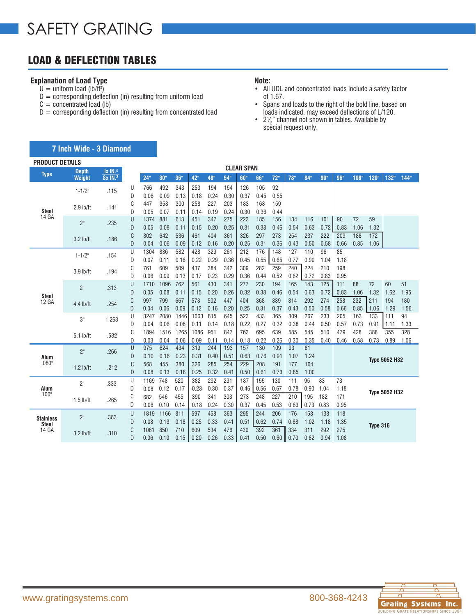# LOAD & DEFLECTION TABLES

### **Explanation of Load Type**

- $U =$  uniform load (lb/ft<sup>2</sup>)
- $D =$  corresponding deflection (in) resulting from uniform load
- $C =$  concentrated load (lb)
- $D =$  corresponding deflection (in) resulting from concentrated load

#### **Note:**

- All UDL and concentrated loads include a safety factor of 1.67.
- Spans and loads to the right of the bold line, based on loads indicated, may exceed deflections of L/120.
- $2\frac{1}{2}$  channel not shown in tables. Available by ∕<br>≀  $2\frac{2}{2}$  enaming not end<br>special request only.

| <b>PRODUCT DETAILS</b>           |                |                |        |              |                 |             |             |             |             |                   |             |             |            |            |      |      |      |                 |                      |      |
|----------------------------------|----------------|----------------|--------|--------------|-----------------|-------------|-------------|-------------|-------------|-------------------|-------------|-------------|------------|------------|------|------|------|-----------------|----------------------|------|
| <b>Type</b>                      | <b>Depth</b>   | $1x$ $IN.4$    |        |              |                 |             |             |             |             | <b>CLEAR SPAN</b> |             |             |            |            |      |      |      |                 |                      |      |
|                                  | Weight         | <b>Sx IN.3</b> |        | 24"          | 30 <sup>0</sup> | 36"         | 42"         | 48"         | 54"         | 60"               | 66"         | 72"         | 78"        | 84"        | 90"  | 96"  | 108" | 120"            | 132"                 | 144" |
|                                  | $1 - 1/2"$     | .115           | U      | 766          | 492             | 343         | 253         | 194         | 154         | 126               | 105         | 92          |            |            |      |      |      |                 |                      |      |
|                                  |                |                | D      | 0.06         | 0.09            | 0.13        | 0.18        | 0.24        | 0.30        | 0.37              | 0.45        | 0.55        |            |            |      |      |      |                 |                      |      |
| <b>Steel</b>                     | $2.9$ lb/ft    | .141           | C      | 447          | 358             | 300         | 258         | 227         | 203         | 183               | 168         | 159         |            |            |      |      |      |                 |                      |      |
| 14 GA                            |                |                | D<br>U | 0.05<br>1374 | 0.07<br>881     | 0.11<br>613 | 0.14<br>451 | 0.19<br>347 | 0.24<br>275 | 0.30<br>223       | 0.36<br>185 | 0.44<br>156 | 134        | 116        | 101  | 90   | 72   | 59              |                      |      |
|                                  | 2 <sup>n</sup> | .235           | D      | 0.05         | 0.08            | 0.11        | 0.15        | 0.20        | 0.25        | 0.31              | 0.38        | 0.46        | 0.54       | 0.63       | 0.72 | 0.83 | 1.06 | 1.32            |                      |      |
|                                  |                |                | C      | 802          | 642             | 536         | 461         | 404         | 361         | 326               | 297         | 273         | 254        | 237        | 222  | 209  | 188  | 172             |                      |      |
|                                  | $3.2$ lb/ft    | .186           | D      | 0.04         | 0.06            | 0.09        | 0.12        | 0.16        | 0.20        | 0.25              | 0.31        | 0.36        | 0.43       | 0.50       | 0.58 | 0.66 | 0.85 | 1.06            |                      |      |
|                                  |                |                | U      | 1304         | 836             | 582         | 428         | 329         | 261         | 212               | 176         | 148         | 127        | 110        | 96   | 85   |      |                 |                      |      |
|                                  | $1 - 1/2$ "    | .154           | D      | 0.07         | 0.11            | 0.16        | 0.22        | 0.29        | 0.36        | 0.45              | 0.55        | 0.65        | 0.77       | 0.90       | 1.04 | 1.18 |      |                 |                      |      |
|                                  |                |                | C      | 761          | 609             | 509         | 437         | 384         | 342         | 309               | 282         | 259         | 240        | 224        | 210  | 198  |      |                 |                      |      |
|                                  | 3.9 lb/ft      | .194           | D      | 0.06         | 0.09            | 0.13        | 0.17        | 0.23        | 0.29        | 0.36              | 0.44        | 0.52        | 0.62       | 0.72       | 0.83 | 0.95 |      |                 |                      |      |
|                                  | 2"             | .313           | U      | 1710         | 1096            | 762         | 561         | 430         | 341         | 277               | 230         | 194         | 165        | 143        | 125  | 111  | 88   | 72              | 60                   | 51   |
|                                  |                |                | D      | 0.05         | 0.08            | 0.11        | 0.15        | 0.20        | 0.26        | 0.32              | 0.38        | 0.46        | 0.54       | 0.63       | 0.72 | 0.83 | 1.06 | 1.32            | 1.62                 | 1.95 |
| Steel<br>12 GA                   | $4.4$ lb/ft    | .254           | C      | 997          | 799             | 667         | 573         | 502         | 447         | 404               | 368         | 339         | 314        | 292        | 274  | 258  | 232  | 211             | 194                  | 180  |
|                                  |                |                | D      | 0.04         | 0.06            | 0.09        | 0.12        | 0.16        | 0.20        | 0.25              | 0.31        | 0.37        | 0.43       | 0.50       | 0.58 | 0.66 | 0.85 | 1.06            | 1.29                 | 1.56 |
|                                  | 3"             | 1.263          | U      | 3247         | 2080            | 1446        | 1063        | 815         | 645         | 523               | 433         | 365         | 309        | 267        | 233  | 205  | 163  | 133             | 111                  | 94   |
|                                  |                |                | D      | 0.04         | 0.06            | 0.08        | 0.11        | 0.14        | 0.18        | 0.22              | 0.27        | 0.32        | 0.38       | 0.44       | 0.50 | 0.57 | 0.73 | 0.91            | 1.11                 | 1.33 |
|                                  | $5.1$ lb/ft    | .532           | C      | 1894         | 1516            | 1265        | 1086        | 951         | 847         | 763               | 695         | 639         | 585        | 545        | 510  | 479  | 428  | 388             | 355                  | 328  |
|                                  |                |                | D      | 0.03         | 0.04            | 0.06        | 0.09        | 0.11        | 0.14        | 0.18              | 0.22        | 0.26        | 0.30       | 0.35       | 0.40 | 0.46 | 0.58 | 0.73            | 0.89                 | 1.06 |
|                                  | 2 <sup>n</sup> | .266           | U      | 975<br>0.10  | 624<br>0.16     | 434<br>0.23 | 319         | 244         | 193         | 157               | 130<br>0.76 | 109         | 93<br>1.07 | 81<br>1.24 |      |      |      |                 |                      |      |
| Alum<br>.080"                    |                |                | D<br>C | 568          | 455             | 380         | 0.31<br>326 | 0.40<br>285 | 0.51<br>254 | 0.63<br>229       | 208         | 0.91<br>191 | 177        | 164        |      |      |      |                 | <b>Type 5052 H32</b> |      |
|                                  | $1.2$ lb/ft    | .212           | D      | 0.08         | 0.13            | 0.18        | 0.25        | 0.32        | 0.41        | 0.50              | 0.61        | 0.73        | 0.85       | 1.00       |      |      |      |                 |                      |      |
|                                  |                |                | U      | 1169         | 748             | 520         | 382         | 292         | 231         | 187               | 155         | 130         | 111        | 95         | 83   | 73   |      |                 |                      |      |
| Alum                             | 2"             | .333           | D      | 0.08         | 0.12            | 0.17        | 0.23        | 0.30        | 0.37        | 0.46              | 0.56        | 0.67        | 0.78       | 0.90       | 1.04 | 1.18 |      |                 |                      |      |
| .100"                            |                |                | C      | 682          | 546             | 455         | 390         | 341         | 303         | 273               | 248         | 227         | 210        | 195        | 182  | 171  |      |                 | <b>Type 5052 H32</b> |      |
|                                  | $1.5$ lb/ft    | .265           | D      | 0.06         | 0.10            | 0.14        | 0.18        | 0.24        | 0.30        | 0.37              | 0.45        | 0.53        | 0.63       | 0.73       | 0.83 | 0.95 |      |                 |                      |      |
|                                  |                |                | U      | 1819         | 1166            | 811         | 597         | 458         | 363         | 295               | 244         | 206         | 176        | 153        | 133  | 118  |      |                 |                      |      |
| <b>Stainless</b><br><b>Steel</b> | 2"             | .383           | D      | 0.08         | 0.13            | 0.18        | 0.25        | 0.33        | 0.41        | 0.51              | 0.62        | 0.74        | 0.88       | 1.02       | 1.18 | 1.35 |      |                 |                      |      |
| 14 GA                            | $3.2$ lb/ft    | .310           | C      | 1061         | 850             | 710         | 609         | 534         | 476         | 430               | 392         | 361         | 334        | 311        | 292  | 275  |      | <b>Type 316</b> |                      |      |
|                                  |                |                | D      | 0.06         | 0.10            | 0.15        | 0.20        | 0.26        | 0.33        | 0.41              | 0.50        | 0.60        | 0.70       | 0.82       | 0.94 | 1.08 |      |                 |                      |      |



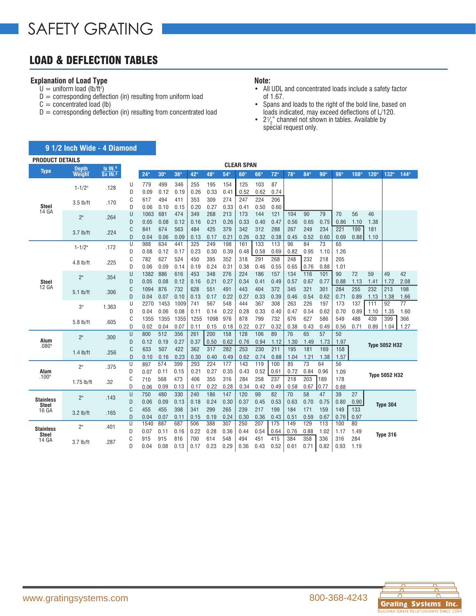# LOAD & DEFLECTION TABLES

## **Explanation of Load Type**

- $U =$  uniform load (lb/ft<sup>2</sup>)
- $D =$  corresponding deflection (in) resulting from uniform load
- $C =$  concentrated load (lb)
- $D =$  corresponding deflection (in) resulting from concentrated load

#### **Note:**

- All UDL and concentrated loads include a safety factor of 1.67.
- Spans and loads to the right of the bold line, based on loads indicated, may exceed deflections of L/120.
- $2\frac{1}{2}$  channel not shown in tables. Available by ∕<br>≀  $2\frac{2}{2}$  enaming not end<br>special request only.

|                        | 9 1/2 Inch Wide - 4 Diamond |                       |        |             |             |             |             |             |             |                   |             |             |             |             |             |             |      |      |                      |      |
|------------------------|-----------------------------|-----------------------|--------|-------------|-------------|-------------|-------------|-------------|-------------|-------------------|-------------|-------------|-------------|-------------|-------------|-------------|------|------|----------------------|------|
| <b>PRODUCT DETAILS</b> |                             |                       |        |             |             |             |             |             |             |                   |             |             |             |             |             |             |      |      |                      |      |
| <b>Type</b>            | Depth                       | Ix IN.4               |        |             |             |             |             |             |             | <b>CLEAR SPAN</b> |             |             |             |             |             |             |      |      |                      |      |
|                        | <b>Weight</b>               | $Sx$ IN. <sup>3</sup> |        | 24"         | 30"         | 36"         | 42"         | 48"         | 54"         | 60"               | 66"         | 72"         | 78"         | 84"         | 90"         | 96"         | 108" | 120" | 132"                 | 144" |
|                        | $1 - 1/2"$                  | .128                  | U      | 779         | 499         | 346         | 255         | 195         | 154         | 125               | 103         | 87          |             |             |             |             |      |      |                      |      |
|                        |                             |                       | D      | 0.09        | 0.12        | 0.19        | 0.26        | 0.33        | 0.41        | 0.52              | 0.62        | 0.74        |             |             |             |             |      |      |                      |      |
|                        | $3.5$ lb/ft                 | .170                  | C      | 617         | 494         | 411         | 353         | 309         | 274         | 247               | 224         | 206         |             |             |             |             |      |      |                      |      |
| <b>Steel</b><br>14 GA  |                             |                       | D      | 0.06        | 0.10        | 0.15        | 0.20        | 0.27        | 0.33        | 0.41              | 0.50        | 0.60        |             |             |             |             |      |      |                      |      |
|                        | 2"                          | .264                  | U      | 1063        | 681         | 474         | 349         | 268         | 213         | 173               | 144         | 121         | 104         | 90          | 79          | 70          | 56   | 46   |                      |      |
|                        |                             |                       | D      | 0.05        | 0.08        | 0.12        | 0.16        | 0.21        | 0.26        | 0.33              | 0.40        | 0.47        | 0.56        | 0.65        | 0.75        | 0.86        | 1.10 | 1.38 |                      |      |
|                        | $3.7$ lb/ft                 | .224                  | C      | 841         | 674         | 563         | 484         | 425         | 379         | 342               | 312         | 288         | 267         | 249         | 234         | 221         | 199  | 181  |                      |      |
|                        |                             |                       | D<br>U | 0.04<br>988 | 0.06<br>634 | 0.09<br>441 | 0.13<br>325 | 0.17<br>249 | 0.21<br>198 | 0.26<br>161       | 0.32<br>133 | 0.38<br>113 | 0.45<br>96  | 0.52<br>84  | 0.60<br>73  | 0.69<br>65  | 0.88 | 1.10 |                      |      |
|                        | $1 - 1/2$ "                 | .172                  | D      | 0.08        | 0.12        | 0.17        | 0.23        | 0.30        | 0.39        | 0.48              | 0.58        | 0.69        | 0.82        | 0.95        | 1.10        | 1.26        |      |      |                      |      |
|                        |                             |                       | C      | 782         | 627         | 524         | 450         | 395         | 352         | 318               | 291         | 268         | 248         | 232         | 218         | 205         |      |      |                      |      |
|                        | $4.8$ lb/ft                 | .225                  | D      | 0.06        | 0.09        | 0.14        | 0.19        | 0.24        | 0.31        | 0.38              | 0.46        | 0.55        | 0.65        | 0.76        | 0.88        | 1.01        |      |      |                      |      |
| <b>Steel</b>           |                             |                       | U      | 1382        | 886         | 616         | 453         | 348         | 276         | 224               | 186         | 157         | 134         | 116         | 101         | 90          | 72   | 59   | 49                   | 42   |
|                        | 2 <sup>n</sup>              | .354                  | D      | 0.05        | 0.08        | 0.12        | 0.16        | 0.21        | 0.27        | 0.34              | 0.41        | 0.49        | 0.57        | 0.67        | 0.77        | 0.88        | 1.13 | 1.41 | 1.72                 | 2.08 |
| <b>12 GA</b>           |                             |                       | C      | 1094        | 876         | 732         | 628         | 551         | 491         | 443               | 404         | 372         | 345         | 321         | 301         | 284         | 255  | 232  | 213                  | 198  |
|                        | $5.1$ lb/ft                 | .306                  | D      | 0.04        | 0.07        | 0.10        | 0.13        | 0.17        | 0.22        | 0.27              | 0.33        | 0.39        | 0.46        | 0.54        | 0.62        | 0.71        | 0.89 | 1.13 | 1.38                 | 1.66 |
|                        | 3"                          | 1.363                 | U      | 2270        | 1453        | 1009        | 741         | 567         | 548         | 444               | 367         | 308         | 263         | 226         | 197         | 173         | 137  | 111  | 92                   | 77   |
|                        |                             |                       | D      | 0.04        | 0.06        | 0.08        | 0.11        | 0.14        | 0.22        | 0.28              | 0.33        | 0.40        | 0.47        | 0.54        | 0.62        | 0.70        | 0.89 | 1.10 | 1.35                 | 1.60 |
|                        | 5.8 lb/ft                   | .605                  | C      | 1355        | 1355        | 1355        | 1255        | 1098        | 976         | 878               | 799         | 732         | 676         | 627         | 586         | 549         | 488  | 439  | 399                  | 366  |
|                        |                             |                       | D      | 0.02        | 0.04        | 0.07        | 0.11        | 0.15        | 0.18        | 0.22              | 0.27        | 0.32        | 0.38        | 0.43        | 0.49        | 0.56        | 0.71 | 0.89 | 1.04                 | 1.27 |
|                        | 2 <sup>n</sup>              | .300                  | U      | 800         | 512         | 356         | 261         | 200         | 158         | 128               | 106         | 89          | 76          | 65          | 57          | 50          |      |      |                      |      |
| Alum<br>.080"          |                             |                       | D      | 0.12        | 0.19        | 0.27        | 0.37        | 0.50        | 0.62        | 0.76              | 0.94        | 1.12        | 1.30        | 1.49        | 1.73        | 1.97        |      |      | <b>Type 5052 H32</b> |      |
|                        | $1.4$ lb/ft                 | .256                  | C      | 633         | 507         | 422         | 362         | 317         | 282         | 253               | 230         | 211         | 195         | 181         | 169         | 158         |      |      |                      |      |
|                        |                             |                       | D      | 0.10        | 0.16        | 0.23        | 0.30        | 0.40        | 0.49        | 0.62              | 0.74        | 0.88        | 1.04        | 1.21        | 1.38        | 1.57        |      |      |                      |      |
|                        | 2 <sup>n</sup>              | .375                  | U<br>D | 897         | 574         | 399         | 293         | 224         | 177         | 143               | 119         | 100         | 85          | 73          | 64          | 56          |      |      |                      |      |
| Alum<br>.100"          |                             |                       | C      | 0.07        | 0.11<br>568 | 0.15<br>473 | 0.21<br>406 | 0.27<br>355 | 0.35<br>316 | 0.43<br>284       | 0.52<br>258 | 0.61<br>237 | 0.72<br>218 | 0.84<br>203 | 0.96<br>189 | 1.09<br>178 |      |      | <b>Type 5052 H32</b> |      |
|                        | $1.75$ lb/ft                | .32                   | D      | 710         | 0.09        | 0.13        | 0.17        | 0.22        | 0.28        | 0.34              | 0.42        | 0.49        | 0.58        | 0.67        | 0.77        |             |      |      |                      |      |
|                        |                             |                       | U      | 0.06<br>750 | 480         | 330         | 240         | 186         | 147         | 120               | 99          | 82          | 70          | 58          | 47          | 0.88<br>39  | 27   |      |                      |      |
| <b>Stainless</b>       | 2 <sup>n</sup>              | .143                  | D      | 0.06        | 0.09        | 0.13        | 0.18        | 0.24        | 0.30        | 0.37              | 0.45        | 0.53        | 0.63        | 0.70        | 0.75        | 0.80        | 0.90 |      |                      |      |
| <b>Steel</b>           |                             |                       | C      | 455         | 455         | 398         | 341         | 299         | 265         | 239               | 217         | 199         | 184         | 171         | 159         | 149         | 133  |      | <b>Type 304</b>      |      |
| 16 GA                  | $3.2$ lb/ft                 | .165                  | D      | 0.04        | 0.07        | 0.11        | 0.15        | 0.19        | 0.24        | 0.30              | 0.36        | 0.43        | 0.51        | 0.59        | 0.67        | 0.76        | 0.97 |      |                      |      |
|                        |                             |                       | U      | 1540        | 887         | 687         | 506         | 388         | 307         | 250               | 207         | 175         | 149         | 129         | 113         | 100         | 80   |      |                      |      |
| <b>Stainless</b>       | 2 <sup>n</sup>              | .401                  | D      | 0.07        | 0.11        | 0.16        | 0.22        | 0.28        | 0.36        | 0.44              | 0.54        | 0.64        | 0.76        | 0.88        | 1.02        | 1.17        | 1.49 |      |                      |      |
| <b>Steel</b><br>14 GA  |                             |                       | C      | 915         | 915         | 816         | 700         | 614         | 548         | 494               | 451         | 415         | 384         | 358         | 336         | 316         | 284  |      | Type 316             |      |
|                        | $3.7$ lb/ft                 | .287                  | D      | 0.04        | 0.08        | 0.13        | 0.17        | 0.23        | 0.29        | 0.36              | 0.43        | 0.52        | 0.61        | 0.71        | 0.82        | 0.93        | 1.19 |      |                      |      |

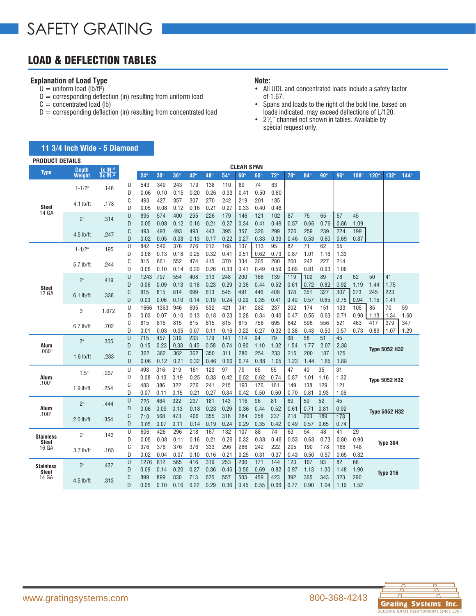# LOAD & DEFLECTION TABLES

**11 3/4 Inch Wide - 5 Diamond**

### **Explanation of Load Type**

- $U =$  uniform load (lb/ft<sup>2</sup>)
- $D =$  corresponding deflection (in) resulting from uniform load
- $C =$  concentrated load (lb)
- $D =$  corresponding deflection (in) resulting from concentrated load

#### **Note:**

- All UDL and concentrated loads include a safety factor of 1.67.
- Spans and loads to the right of the bold line, based on loads indicated, may exceed deflections of L/120.
- $2\frac{1}{2}$  channel not shown in tables. Available by ∕<br>≀  $2\frac{2}{2}$  enaming not end<br>special request only.

| <b>PRODUCT DETAILS</b>           |                 |                                  |        |                 |                  |             |             |             |             |                   |             |             |                  |                 |             |             |             |            |                      |      |
|----------------------------------|-----------------|----------------------------------|--------|-----------------|------------------|-------------|-------------|-------------|-------------|-------------------|-------------|-------------|------------------|-----------------|-------------|-------------|-------------|------------|----------------------|------|
| <b>Type</b>                      | <b>Depth</b>    | $\overline{IX}$ IN <sub>.4</sub> |        |                 |                  |             |             |             |             | <b>CLEAR SPAN</b> |             |             |                  |                 |             |             |             |            |                      |      |
|                                  | Weight          | <b>Sx IN.3</b>                   |        | 24 <sup>°</sup> | 30 <sup>th</sup> | 36"         | 42"         | 48"         | 54"         | 60"               | 66"         | 72"         | 78 <sup>th</sup> | 84 <sup>°</sup> | 90"         | 96"         | 108"        | 120"       | 132"                 | 144" |
|                                  | $1 - 1/2"$      | .146                             | U      | 543             | 349              | 243         | 179         | 138         | 110         | 89                | 74          | 63          |                  |                 |             |             |             |            |                      |      |
|                                  |                 |                                  | D      | 0.06            | 0.10             | 0.15        | 0.20        | 0.26        | 0.33        | 0.41              | 0.50        | 0.60        |                  |                 |             |             |             |            |                      |      |
|                                  | $4.1$ lb/ft     | .178                             | C      | 493             | 427              | 357         | 307         | 270         | 242         | 219               | 201         | 185         |                  |                 |             |             |             |            |                      |      |
| <b>Steel</b><br>14 GA            |                 |                                  | D      | 0.05            | 0.08             | 0.12        | 0.16        | 0.21        | 0.27        | 0.33              | 0.40        | 0.48        |                  |                 |             |             |             |            |                      |      |
|                                  | 2 <sup>n</sup>  | .314                             | U      | 895             | 574              | 400         | 295         | 226         | 179         | 146               | 121         | 102         | 87               | 75              | 65          | 57          | 45          |            |                      |      |
|                                  |                 |                                  | D      | 0.05            | 0.08             | 0.12        | 0.16        | 0.21        | 0.27        | 0.34              | 0.41        | 0.49        | 0.57             | 0.66            | 0.76        | 0.86        | 1.09        |            |                      |      |
|                                  | $4.5$ lb/ft     | .247                             | C      | 493             | 493              | 493         | 493         | 443         | 395         | 357               | 326         | 299         | 276              | 259             | 239         | 224         | 199         |            |                      |      |
|                                  |                 |                                  | D      | 0.02            | 0.05             | 0.08        | 0.13        | 0.17        | 0.22        | 0.27              | 0.33        | 0.39        | 0.46             | 0.53            | 0.60        | 0.69        | 0.87        |            |                      |      |
|                                  | $1 - 1/2"$      | .195                             | U      | 842             | 540              | 376         | 276         | 212         | 168         | 137               | 113         | 95          | 82               | 71              | 62          | 55          |             |            |                      |      |
|                                  |                 |                                  | D      | 0.08            | 0.13             | 0.18        | 0.25        | 0.32        | 0.41        | 0.51              | 0.62        | 0.73        | 0.87             | 1.01            | 1.16        | 1.33        |             |            |                      |      |
|                                  | 5.7 lb/ft       | .244                             | C      | 815             | 661              | 552         | 474         | 415         | 370         | 334               | 305         | 280         | 260              | 242             | 227         | 214         |             |            |                      |      |
|                                  |                 |                                  | D      | 0.06            | 0.10             | 0.14        | 0.20        | 0.26        | 0.33        | 0.41              | 0.49        | 0.59        | 0.69             | 0.81            | 0.93        | 1.06        |             |            |                      |      |
|                                  | 2 <sup>11</sup> | .419                             | U      | 1243            | 797              | 554         | 408         | 313         | 248         | 200               | 166         | 139         | 119              | 102             | 89          | 78          | 62          | 50         | 41                   |      |
| <b>Steel</b>                     |                 |                                  | D      | 0.06            | 0.09             | 0.13        | 0.18        | 0.23        | 0.29        | 0.36              | 0.44        | 0.52        | 0.61             | 0.72<br>351     | 0.82        | 0.92        | 1.19        | 1.44       | 1.75                 |      |
| 12 GA                            | $6.1$ lb/ft     | .338                             | C<br>D | 815             | 815              | 814         | 699         | 613         | 545         | 491               | 446         | 409         | 378              |                 | 327<br>0.65 | 307         | 273         | 245        | 223<br>1.41          |      |
|                                  |                 |                                  |        | 0.03            | 0.06<br>1363     | 0.10<br>946 | 0.14<br>695 | 0.19<br>532 | 0.24        | 0.29<br>341       | 0.35<br>282 | 0.41<br>237 | 0.49<br>202      | 0.57<br>174     | 151         | 0.75        | 0.94<br>105 | 1.15<br>85 | 70                   | 59   |
|                                  | 3"              | 1.672                            | U<br>D | 1666<br>0.03    | 0.07             | 0.10        | 0.13        | 0.18        | 421<br>0.23 | 0.28              | 0.34        | 0.40        | 0.47             | 0.55            | 0.63        | 133<br>0.71 | 0.90        | 1.13       | 1.34                 | 1.60 |
|                                  |                 |                                  | C      | 815             | 815              | 815         | 815         | 815         | 815         | 815               | 758         | 695         | 642              | 596             | 556         | 521         | 463         | 417        | 379                  | 347  |
|                                  | $6.7$ lb/ft     | .702                             | D      | 0.01            | 0.03             | 0.05        | 0.07        | 0.11        | 0.16        | 0.22              | 0.27        | 0.32        | 0.38             | 0.43            | 0.50        | 0.57        | 0.73        | 0.89       | 1.07                 | 1.29 |
|                                  |                 |                                  | U      | 715             | 457              | 319         | 233         | 179         | 141         | 114               | 94          | 79          | 68               | 58              | 51          | 45          |             |            |                      |      |
| Alum                             | 2 <sup>n</sup>  | .355                             | D      | 0.15            | 0.23             | 0.33        | 0.45        | 0.58        | 0.74        | 0.90              | 1.10        | 1.32        | 1.54             | 1.77            | 2.07        | 2.38        |             |            |                      |      |
| .080"                            |                 |                                  | C      | 362             | 362              | 362         | 362         | 350         | 311         | 280               | 254         | 233         | 215              | 200             | 187         | 175         |             |            | <b>Type 5052 H32</b> |      |
|                                  | $1.6$ lb/ft     | .283                             | D      | 0.06            | 0.12             | 0.21        | 0.32        | 0.46        | 0.60        | 0.74              | 0.88        | 1.05        | 1.23             | 1.44            | 1.65        | 1.88        |             |            |                      |      |
|                                  |                 |                                  | U      | 493             | 316              | 219         | 161         | 123         | 97          | 79                | 65          | 55          | 47               | 40              | 35          | 31          |             |            |                      |      |
| Alum                             | 1.5"            | .207                             | D      | 0.08            | 0.13             | 0.19        | 0.25        | 0.33        | 0.42        | 0.52              | 0.62        | 0.74        | 0.87             | 1.01            | 1.16        | 1.32        |             |            |                      |      |
| .100"                            |                 |                                  | C      | 483             | 386              | 322         | 276         | 241         | 215         | 193               | 176         | 161         | 149              | 138             | 129         | 121         |             |            | <b>Type 5052 H32</b> |      |
|                                  | $1.9$ lb/ft     | .254                             | D      | 0.07            | 0.11             | 0.15        | 0.21        | 0.27        | 0.34        | 0.42              | 0.50        | 0.60        | 0.70             | 0.81            | 0.93        | 1.06        |             |            |                      |      |
|                                  |                 |                                  | U      | 725             | 464              | 322         | 237         | 181         | 143         | 116               | 96          | 81          | 69               | 59              | 52          | 45          |             |            |                      |      |
| Alum                             | 2 <sup>n</sup>  | .444                             | D      | 0.06            | 0.09             | 0.13        | 0.18        | 0.23        | 0.29        | 0.36              | 0.44        | 0.52        | 0.61             | 0.71            | 0.81        | 0.92        |             |            |                      |      |
| .100"                            |                 |                                  | C      | 710             | 568              | 473         | 406         | 355         | 316         | 284               | 258         | 237         | 218              | 203             | 189         | 178         |             |            | <b>Type 5052 H32</b> |      |
|                                  | $2.0$ lb/ft     | .354                             | D      | 0.05            | 0.07             | 0.11        | 0.14        | 0.19        | 0.24        | 0.29              | 0.35        | 0.42        | 0.49             | 0.57            | 0.65        | 0.74        |             |            |                      |      |
|                                  |                 |                                  | U      | 606             | 426              | 296         | 218         | 167         | 132         | 107               | 88          | 74          | 63               | 54              | 48          | 41          | 29          |            |                      |      |
| <b>Stainless</b><br><b>Steel</b> | 2 <sup>n</sup>  | .143                             | D      | 0.05            | 0.08             | 0.11        | 0.16        | 0.21        | 0.26        | 0.32              | 0.38        | 0.46        | 0.53             | 0.63            | 0.73        | 0.80        | 0.90        |            |                      |      |
| 16 GA                            |                 |                                  | C      | 376             | 376              | 376         | 376         | 333         | 296         | 266               | 242         | 222         | 205              | 190             | 178         | 166         | 148         |            | Type 304             |      |
|                                  | $3.7$ lb/ft     | .165                             | D      | 0.02            | 0.04             | 0.07        | 0.10        | 0.16        | 0.21        | 0.25              | 0.31        | 0.37        | 0.43             | 0.50            | 0.57        | 0.65        | 0.82        |            |                      |      |
|                                  | 2 <sup>n</sup>  | .427                             | U      | 1276            | 812              | 565         | 416         | 319         | 253         | 206               | 171         | 144         | 123              | 107             | 93          | 82          | 66          |            |                      |      |
| <b>Stainless</b><br>Steel        |                 |                                  | D      | 0.09            | 0.14             | 0.20        | 0.27        | 0.36        | 0.46        | 0.56              | 0.69        | 0.82        | 0.97             | 1.13            | 1.30        | 1.48        | 1.90        |            | <b>Type 316</b>      |      |
| 14 GA                            | $4.5$ lb/ft     | .313                             | C      | 899             | 899              | 830         | 713         | 625         | 557         | 503               | 459         | 423         | 392              | 365             | 343         | 323         | 290         |            |                      |      |
|                                  |                 |                                  | D      | 0.05            | 0.10             | 0.16        | 0.22        | 0.29        | 0.36        | 0.45              | 0.55        | 0.66        | 0.77             | 0.90            | 1.04        | 1.19        | 1.52        |            |                      |      |



**RELATIONSHIPS**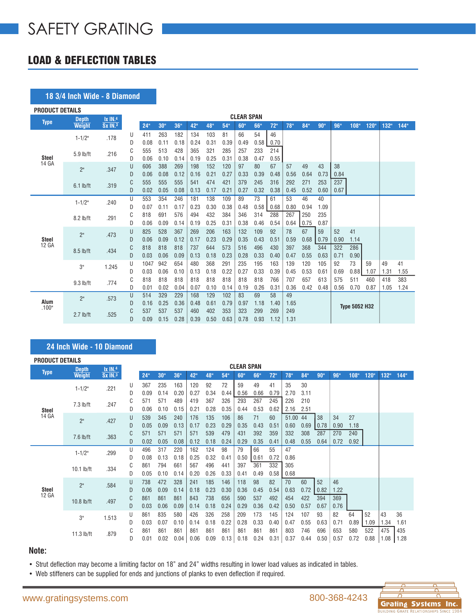# LOAD & DEFLECTION TABLES

### **18 3/4 Inch Wide - 8 Diamond**

| <b>PRODUCT DETAILS</b> |                |                     |        |             |             |             |             |             |             |                   |            |            |            |      |      |      |                      |      |      |      |
|------------------------|----------------|---------------------|--------|-------------|-------------|-------------|-------------|-------------|-------------|-------------------|------------|------------|------------|------|------|------|----------------------|------|------|------|
| <b>Type</b>            | <b>Depth</b>   | $1x$ $IN.4$         |        |             |             |             |             |             |             | <b>CLEAR SPAN</b> |            |            |            |      |      |      |                      |      |      |      |
|                        | <b>Weight</b>  | Sx IN. <sup>3</sup> |        | 24"         | 30"         | 36"         | 42"         | 48"         | 54"         | 60"               | 66"        | 72"        | 78"        | 84"  | 90"  | 96"  | 108"                 | 120" | 132" | 144" |
|                        | $1 - 1/2$ "    | .178                | U      | 411         | 263         | 182         | 134         | 103         | 81          | 66                | 54         | 46         |            |      |      |      |                      |      |      |      |
|                        |                |                     | D      | 0.08        | 0.11        | 0.18        | 0.24        | 0.31        | 0.39        | 0.49              | 0.58       | 0.70       |            |      |      |      |                      |      |      |      |
| <b>Steel</b>           | 5.9 lb/ft      | .216                | C      | 555         | 513         | 428         | 365         | 321         | 285         | 257               | 233        | 214        |            |      |      |      |                      |      |      |      |
| 14 GA                  |                |                     | D<br>U | 0.06<br>606 | 0.10<br>388 | 0.14<br>269 | 0.19<br>198 | 0.25<br>152 | 0.31<br>120 | 0.38<br>97        | 0.47<br>80 | 0.55<br>67 | 57         | 49   | 43   | 38   |                      |      |      |      |
|                        | 2 <sup>n</sup> | .347                | D      | 0.06        | 0.08        | 0.12        | 0.16        | 0.21        | 0.27        | 0.33              | 0.39       | 0.48       | 0.56       | 0.64 | 0.73 | 0.84 |                      |      |      |      |
|                        |                |                     | C      | 555         | 555         | 555         | 541         | 474         | 421         | 379               | 245        | 316        | 292        | 271  | 253  | 237  |                      |      |      |      |
|                        | $6.1$ lb/ft    | .319                | D      | 0.02        | 0.05        | 0.08        | 0.13        | 0.17        | 0.21        | 0.27              | 0.32       | 0.38       | 0.45       | 0.52 | 0.60 | 0.67 |                      |      |      |      |
|                        |                |                     | U      | 553         | 354         | 246         | 181         | 138         | 109         | 89                | 73         | 61         | 53         | 46   | 40   |      |                      |      |      |      |
|                        | $1 - 1/2"$     | .240                | D      | 0.07        | 0.11        | 0.17        | 0.23        | 0.30        | 0.38        | 0.48              | 0.58       | 0.68       | 0.80       | 0.94 | 1.09 |      |                      |      |      |      |
|                        |                |                     | C      | 818         | 691         | 576         | 494         | 432         | 384         | 346               | 314        | 288        | 267        | 250  | 235  |      |                      |      |      |      |
|                        | 8.2 lb/ft      | .291                | D      | 0.06        | 0.09        | 0.14        | 0.19        | 0.25        | 0.31        | 0.38              | 0.46       | 0.54       | 0.64       | 0.75 | 0.87 |      |                      |      |      |      |
|                        | 2 <sup>0</sup> | .473                | U      | 825         | 528         | 367         | 269         | 206         | 163         | 132               | 109        | 92         | 78         | 67   | 59   | 52   | 41                   |      |      |      |
| <b>Steel</b>           |                |                     | D      | 0.06        | 0.09        | 0.12        | 0.17        | 0.23        | 0.29        | 0.35              | 0.43       | 0.51       | 0.59       | 0.68 | 0.79 | 0.90 | 1.14                 |      |      |      |
| 12 GA                  | 8.5 lb/ft      | .434                | C      | 818         | 818         | 818         | 737         | 644         | 573         | 516               | 496        | 430        | 397        | 368  | 344  | 322  | 286                  |      |      |      |
|                        |                |                     | D      | 0.03        | 0.06        | 0.09        | 0.13        | 0.18        | 0.23        | 0.28              | 0.33       | 0.40       | 0.47       | 0.55 | 0.63 | 0.71 | 0.90                 |      |      |      |
|                        | 3"             | 1.245               | U      | 1047        | 942         | 654         | 480         | 368         | 291         | 235               | 195        | 163        | 139        | 120  | 105  | 92   | 73                   | 59   | 49   | 41   |
|                        |                |                     | D      | 0.03        | 0.06        | 0.10        | 0.13        | 0.18        | 0.22        | 0.27              | 0.33       | 0.39       | 0.45       | 0.53 | 0.61 | 0.69 | 0.88                 | 1.07 | 1.31 | 1.55 |
|                        | $9.3$ lb/ft    | .774                | C      | 818         | 818         | 818         | 818         | 818         | 818         | 818               | 818        | 766        | 707        | 657  | 613  | 575  | 511                  | 460  | 418  | 383  |
|                        |                |                     | D      | 0.01        | 0.02        | 0.04        | 0.07        | 0.10        | 0.14        | 0.19              | 0.26       | 0.31       | 0.36       | 0.42 | 0.48 | 0.56 | 0.70                 | 0.87 | 1.05 | 1.24 |
| Alum                   | 2"             | .573                | U<br>D | 514<br>0.16 | 329<br>0.25 | 229<br>0.36 | 168<br>0.48 | 129<br>0.61 | 102<br>0.79 | 83<br>0.97        | 69<br>1.18 | 58<br>1.40 | 49<br>1.65 |      |      |      |                      |      |      |      |
| .100"                  |                |                     | C      | 537         | 537         | 537         | 460         | 402         | 353         | 323               | 299        | 269        | 249        |      |      |      | <b>Type 5052 H32</b> |      |      |      |
|                        | $2.7$ lb/ft    | .525                | D      | 0.09        | 0.15        | 0.28        | 0.39        | 0.50        | 0.63        | 0.78              | 0.93       | 1.12       | 1.31       |      |      |      |                      |      |      |      |
|                        |                |                     |        |             |             |             |             |             |             |                   |            |            |            |      |      |      |                      |      |      |      |

### **24 Inch Wide - 10 Diamond**

| <b>PRODUCT DETAILS</b> |                               |                                         |        |             |                 |             |             |             |             | <b>CLEAR SPAN</b> |             |             |               |             |             |             |             |             |             |             |
|------------------------|-------------------------------|-----------------------------------------|--------|-------------|-----------------|-------------|-------------|-------------|-------------|-------------------|-------------|-------------|---------------|-------------|-------------|-------------|-------------|-------------|-------------|-------------|
| <b>Type</b>            | <b>Depth</b><br><b>Weight</b> | $1x$ IN. <sup>4</sup><br><b>Sx IN.3</b> |        | 24"         | 30 <sup>0</sup> | 36"         | 42"         | 48"         | 54"         | 60"               | 66"         | 72"         | 78"           | 84"         | 90"         | 96"         | 108"        | 120"        | 132"        | 144"        |
|                        | $1 - 1/2"$                    | .221                                    | U<br>D | 367<br>0.09 | 235<br>0.14     | 163<br>0.20 | 120<br>0.27 | 92<br>0.34  | 72<br>0.44  | 59<br>0.56        | 49<br>0.66  | 41<br>0.79  | 35<br>2.70    | 30<br>3.11  |             |             |             |             |             |             |
| <b>Steel</b>           | $7.3$ lb/ft                   | .247                                    | C<br>D | 571<br>0.06 | 571<br>0.10     | 489<br>0.15 | 419<br>0.21 | 367<br>0.28 | 326<br>0.35 | 293<br>0.44       | 267<br>0.53 | 245<br>0.62 | 226<br>2.16   | 210<br>2.51 |             |             |             |             |             |             |
| 14 GA                  | 2"                            | .427                                    | U<br>D | 539<br>0.05 | 345<br>0.09     | 240<br>0.13 | 176<br>0.17 | 135<br>0.23 | 106<br>0.29 | 86<br>0.35        | 71<br>0.43  | 60<br>0.51  | 51.00<br>0.60 | 44<br>0.69  | 38<br>0.78  | 34<br>0.90  | 27<br>1.18  |             |             |             |
|                        | $7.6$ lb/ft                   | .363                                    | C<br>D | 571<br>0.02 | 571<br>0.05     | 571<br>0.08 | 571<br>0.12 | 539<br>0.18 | 479<br>0.24 | 431<br>0.29       | 392<br>0.35 | 359<br>0.41 | 332<br>0.48   | 308<br>0.55 | 287<br>0.64 | 270<br>0.72 | 240<br>0.92 |             |             |             |
|                        | $1 - 1/2"$                    | .299                                    | U<br>D | 496<br>0.08 | 317<br>0.13     | 220<br>0.18 | 162<br>0.25 | 124<br>0.32 | 98<br>0.41  | 79<br>0.50        | 66<br>0.61  | 55<br>0.72  | 47<br>0.86    |             |             |             |             |             |             |             |
|                        | $10.1$ lb/ft                  | .334                                    | C<br>D | 861<br>0.05 | 794<br>0.10     | 661<br>0.14 | 567<br>0.20 | 496<br>0.26 | 441<br>0.33 | 397<br>0.41       | 361<br>0.49 | 332<br>0.58 | 305<br>0.68   |             |             |             |             |             |             |             |
| Steel<br>12 GA         | 2"                            | .584                                    | U<br>D | 738<br>0.06 | 472<br>0.09     | 328<br>0.14 | 241<br>0.18 | 185<br>0.23 | 146<br>0.30 | 118<br>0.36       | 98<br>0.45  | 82<br>0.54  | 70<br>0.63    | 60<br>0.72  | 52<br>0.82  | 46<br>1.22  |             |             |             |             |
|                        | $10.8$ lb/ft                  | .497                                    | C<br>D | 861<br>0.03 | 861<br>0.06     | 861<br>0.09 | 843<br>0.14 | 738<br>0.18 | 656<br>0.24 | 590<br>0.29       | 537<br>0.36 | 492<br>0.42 | 454<br>0.50   | 422<br>0.57 | 394<br>0.67 | 369<br>0.76 |             |             |             |             |
|                        | 3"                            | 1.513                                   | U<br>D | 861<br>0.03 | 835<br>0.07     | 580<br>0.10 | 426<br>0.14 | 326<br>0.18 | 258<br>0.22 | 209<br>0.28       | 173<br>0.33 | 145<br>0.40 | 124<br>0.47   | 107<br>0.55 | 93<br>0.63  | 82<br>0.71  | 64<br>0.89  | 52<br>1.09  | 43<br>1.34  | 36<br>1.61  |
|                        | $11.3$ lb/ft                  | .879                                    | C<br>D | 861<br>0.01 | 861<br>0.02     | 861<br>0.04 | 861<br>0.06 | 861<br>0.09 | 861<br>0.13 | 861<br>0.18       | 861<br>0.24 | 861<br>0.31 | 803<br>0.37   | 746<br>0.44 | 696<br>0.50 | 653<br>0.57 | 580<br>0.72 | 522<br>0.88 | 475<br>1.08 | 435<br>1.28 |

### **Note:**

• Strut deflection may become a limiting factor on 18" and 24" widths resulting in lower load values as indicated in tables.

• Web stiffeners can be supplied for ends and junctions of planks to even deflection if required.

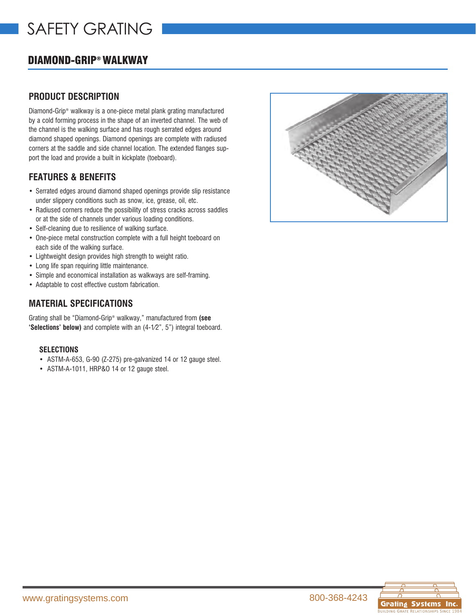# DIAMOND-GRIP® WALKWAY

## **PRODUCT DESCRIPTION**

Diamond-Grip® walkway is a one-piece metal plank grating manufactured by a cold forming process in the shape of an inverted channel. The web of the channel is the walking surface and has rough serrated edges around diamond shaped openings. Diamond openings are complete with radiused corners at the saddle and side channel location. The extended flanges support the load and provide a built in kickplate (toeboard).

## **FEATURES & BENEFITS**

- Serrated edges around diamond shaped openings provide slip resistance under slippery conditions such as snow, ice, grease, oil, etc.
- Radiused corners reduce the possibility of stress cracks across saddles or at the side of channels under various loading conditions.
- Self-cleaning due to resilience of walking surface.
- One-piece metal construction complete with a full height toeboard on each side of the walking surface.
- Lightweight design provides high strength to weight ratio.
- Long life span requiring little maintenance.
- Simple and economical installation as walkways are self-framing.
- Adaptable to cost effective custom fabrication.

## **MATERIAL SPECIFICATIONS**

Grating shall be "Diamond-Grip® walkway," manufactured from **(see 'Selections' below)** and complete with an (4-1⁄2", 5") integral toeboard,

#### • **SELECTIONS**

- ASTM-A-653, G-90 (Z-275) pre-galvanized 14 or 12 gauge steel.
- ASTM-A-1011, HRP&O 14 or 12 gauge steel.